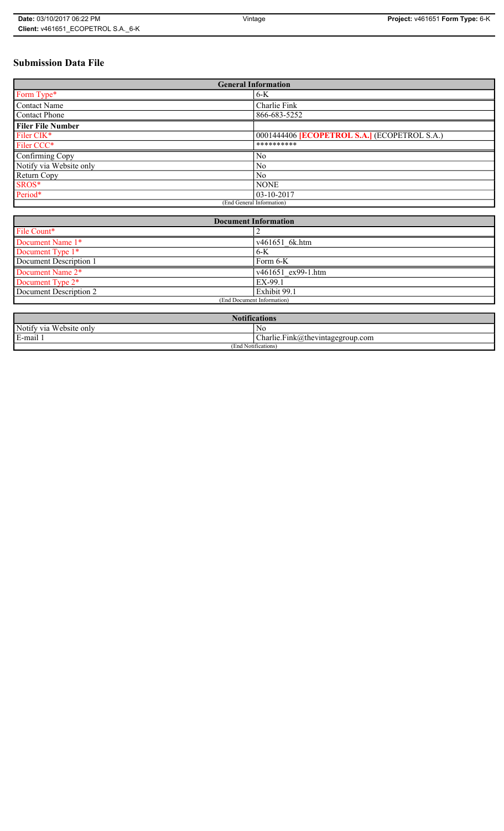# **Submission Data File**

| <b>General Information</b> |                                                   |  |
|----------------------------|---------------------------------------------------|--|
| Form Type*                 | $6-K$                                             |  |
| <b>Contact Name</b>        | Charlie Fink                                      |  |
| <b>Contact Phone</b>       | 866-683-5252                                      |  |
| <b>Filer File Number</b>   |                                                   |  |
| Filer CIK <sup>*</sup>     | 0001444406 <b>ECOPETROL S.A.</b> (ECOPETROL S.A.) |  |
| Filer CCC*                 | **********                                        |  |
| Confirming Copy            | N <sub>0</sub>                                    |  |
| Notify via Website only    | N <sub>0</sub>                                    |  |
| Return Copy                | N <sub>0</sub>                                    |  |
| SROS*                      | <b>NONE</b>                                       |  |
| Period*                    | $03 - 10 - 2017$                                  |  |
| (End General Information)  |                                                   |  |

| <b>Document Information</b>  |                            |  |
|------------------------------|----------------------------|--|
| File Count*                  |                            |  |
| Document Name 1*             | v461651 6k.htm             |  |
| Document Type 1*             | 6-K                        |  |
| Document Description 1       | Form 6-K                   |  |
| Document Name 2*             | $\sqrt{461651}$ ex99-1.htm |  |
| Document Type 2 <sup>*</sup> | EX-99.1                    |  |
| Document Description 2       | Exhibit 99.1               |  |
| (End Document Information)   |                            |  |
|                              |                            |  |

| <b>Notifications</b>    |                                  |  |
|-------------------------|----------------------------------|--|
| Notify via Website only | N0                               |  |
| E-mail                  | Charlie.Fink@thevintagegroup.com |  |
| (End Notifications)     |                                  |  |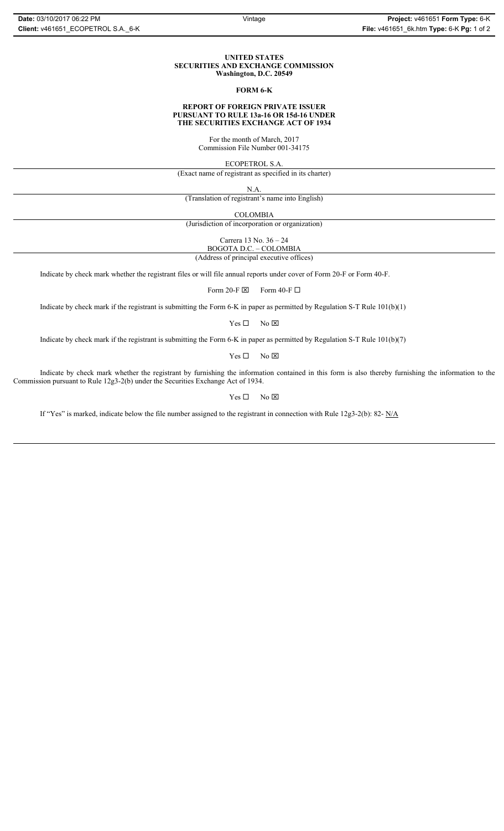### **UNITED STATES SECURITIES AND EXCHANGE COMMISSION Washington, D.C. 20549**

## **FORM 6-K**

### **REPORT OF FOREIGN PRIVATE ISSUER PURSUANT TO RULE 13a-16 OR 15d-16 UNDER THE SECURITIES EXCHANGE ACT OF 1934**

For the month of March, 2017 Commission File Number 001-34175

ECOPETROL S.A.

(Exact name of registrant as specified in its charter)

N.A.

(Translation of registrant's name into English)

COLOMBIA

(Jurisdiction of incorporation or organization)

Carrera 13 No. 36 – 24

BOGOTA D.C. – COLOMBIA (Address of principal executive offices)

Indicate by check mark whether the registrant files or will file annual reports under cover of Form 20-F or Form 40-F.

Form 20-F  $\boxtimes$  Form 40-F  $\Box$ 

Indicate by check mark if the registrant is submitting the Form 6-K in paper as permitted by Regulation S-T Rule 101(b)(1)

 $Yes \Box$  No  $\boxtimes$ 

Indicate by check mark if the registrant is submitting the Form 6-K in paper as permitted by Regulation S-T Rule 101(b)(7)

 $Yes \Box$  No  $\boxtimes$ 

Indicate by check mark whether the registrant by furnishing the information contained in this form is also thereby furnishing the information to the Commission pursuant to Rule 12g3-2(b) under the Securities Exchange Act of 1934.

 $Yes \Box$  No  $\boxtimes$ 

If "Yes" is marked, indicate below the file number assigned to the registrant in connection with Rule 12g3-2(b): 82- N/A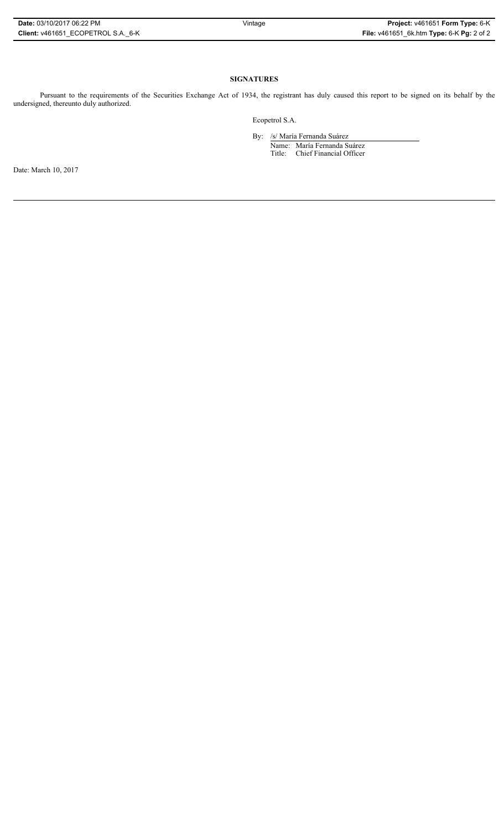# **SIGNATURES**

Pursuant to the requirements of the Securities Exchange Act of 1934, the registrant has duly caused this report to be signed on its behalf by the undersigned, thereunto duly authorized.

Ecopetrol S.A.

By: /s/ María Fernanda Suárez Name: María Fernanda Suárez Title: Chief Financial Officer

Date: March 10, 2017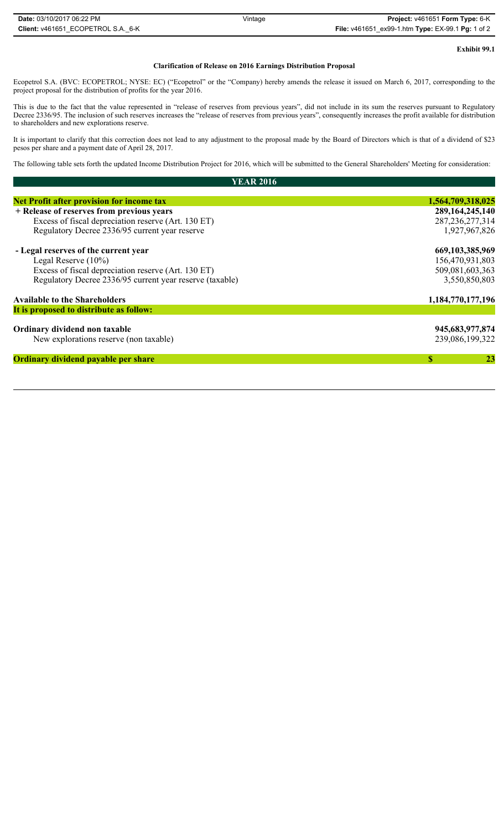| Date: 03/10/2017 06:22 PM          | Vintage | Project: v461651 Form Type: 6-K                                          |
|------------------------------------|---------|--------------------------------------------------------------------------|
| Client: v461651 ECOPETROL S.A. 6-K |         | <b>File:</b> $v461651$ ex99-1.htm <b>Type:</b> EX-99.1 <b>Pg:</b> 1 of 2 |

# **Exhibit 99.1**

## **Clarification of Release on 2016 Earnings Distribution Proposal**

Ecopetrol S.A. (BVC: ECOPETROL; NYSE: EC) ("Ecopetrol" or the "Company) hereby amends the release it issued on March 6, 2017, corresponding to the project proposal for the distribution of profits for the year 2016.

This is due to the fact that the value represented in "release of reserves from previous years", did not include in its sum the reserves pursuant to Regulatory Decree 2336/95. The inclusion of such reserves increases the "release of reserves from previous years", consequently increases the profit available for distribution to shareholders and new explorations reserve.

It is important to clarify that this correction does not lead to any adjustment to the proposal made by the Board of Directors which is that of a dividend of \$23 pesos per share and a payment date of April 28, 2017.

The following table sets forth the updated Income Distribution Project for 2016, which will be submitted to the General Shareholders' Meeting for consideration: **YEAR 2016**

| 1 LAN 2010                                               |                    |
|----------------------------------------------------------|--------------------|
|                                                          |                    |
| <b>Net Profit after provision for income tax</b>         | 1,564,709,318,025  |
| + Release of reserves from previous years                | 289, 164, 245, 140 |
| Excess of fiscal depreciation reserve (Art. 130 ET)      | 287, 236, 277, 314 |
| Regulatory Decree 2336/95 current year reserve           | 1,927,967,826      |
| - Legal reserves of the current year                     | 669, 103, 385, 969 |
| Legal Reserve $(10\%)$                                   | 156,470,931,803    |
| Excess of fiscal depreciation reserve (Art. 130 ET)      | 509,081,603,363    |
| Regulatory Decree 2336/95 current year reserve (taxable) | 3,550,850,803      |
| Available to the Shareholders                            | 1,184,770,177,196  |
| It is proposed to distribute as follow:                  |                    |
| Ordinary dividend non taxable                            | 945,683,977,874    |
| New explorations reserve (non taxable)                   | 239,086,199,322    |
| Ordinary dividend payable per share                      | S<br>23            |
|                                                          |                    |